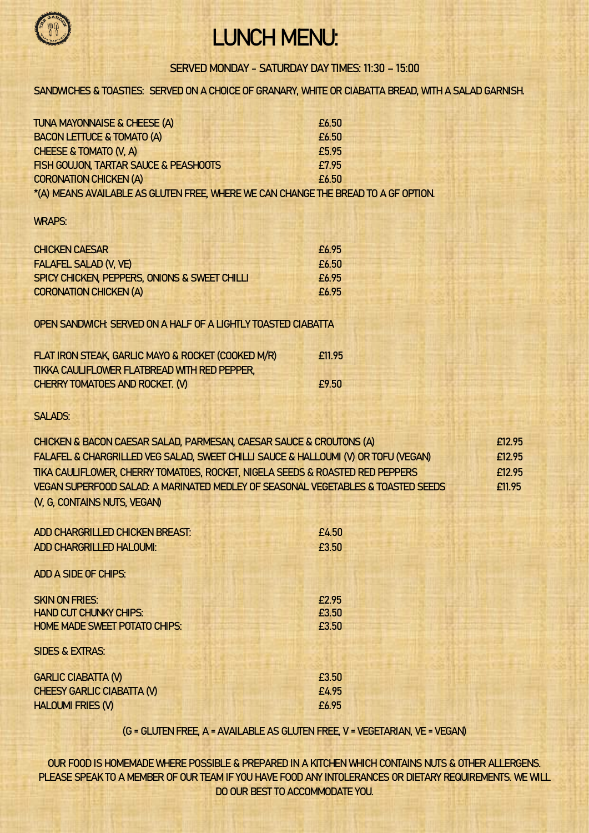

## LUNCH MENU:

SERVED MONDAY - SATURDAY DAY TIMES: 11:30 – 15:00

SANDWICHES & TOASTIES: SERVED ON A CHOICE OF GRANARY, WHITE OR CIABATTA BREAD, WITH A SALAD GARNISH.

| TUNA MAYONNAISE & CHEESE (A)                                                       | £6.50 |
|------------------------------------------------------------------------------------|-------|
| <b>BACON LETTUCE &amp; TOMATO (A)</b>                                              | £6.50 |
| CHEESE & TOMATO (V, A)                                                             | £5.95 |
| FISH GOUJON, TARTAR SAUCE & PEASHOOTS                                              | £7.95 |
| <b>CORONATION CHICKEN (A)</b>                                                      | £6.50 |
| *(A) MEANS AVAILABLE AS GLUTEN FREE, WHERE WE CAN CHANGE THE BREAD TO A GF OPTION. |       |

## WRAPS:

| <b>CHICKEN CAESAR</b>                                         | £6.95 |
|---------------------------------------------------------------|-------|
| <b>FALAFEL SALAD (V, VE)</b>                                  | £6.50 |
| SPICY CHICKEN, PEPPERS, ONIONS & SWEET CHILLI                 | £6.95 |
| <b>CORONATION CHICKEN (A)</b>                                 | £6.95 |
| OPEN SANDWICH: SERVED ON A HALF OF A LIGHTLY TOASTED CIABATTA |       |

| FLAT IRON STEAK, GARLIC MAYO & ROCKET (COOKED M/R) | £11.95 |
|----------------------------------------------------|--------|
| TIKKA CAULIFLOWER FLATBREAD WITH RED PEPPER,       |        |
| CHERRY TOMATOES AND ROCKET. (V)                    | £9.50  |

SALADS:

| CHICKEN & BACON CAESAR SALAD, PARMESAN, CAESAR SAUCE & CROUTONS (A)                | f12.95 |
|------------------------------------------------------------------------------------|--------|
| FALAFEL & CHARGRILLED VEG SALAD, SWEET CHILLI SAUCE & HALLOUMI (V) OR TOFU (VEGAN) | F12.95 |
| TIKA CAULIFLOWER, CHERRY TOMATOES, ROCKET, NIGELA SEEDS & ROASTED RED PEPPERS      | F12.95 |
| VEGAN SUPERFOOD SALAD: A MARINATED MEDLEY OF SEASONAL VEGETABLES & TOASTED SEEDS   | £11.95 |
| (V, G, CONTAINS NUTS, VEGAN)                                                       |        |

| ADD CHARGRILLED CHICKEN BREAST:      | £4.50 |
|--------------------------------------|-------|
| <b>ADD CHARGRILLED HALOUMI:</b>      | £3.50 |
|                                      |       |
| <b>ADD A SIDE OF CHIPS:</b>          |       |
|                                      |       |
| <b>SKIN ON FRIES:</b>                | £2.95 |
| <b>HAND CUT CHUNKY CHIPS:</b>        | £3.50 |
| <b>HOME MADE SWEET POTATO CHIPS:</b> | £3.50 |
|                                      |       |
| <b>SIDES &amp; EXTRAS:</b>           |       |
|                                      |       |
| <b>GARLIC CIABATTA (V)</b>           | £3.50 |
| <b>CHEESY GARLIC CIABATTA (V)</b>    | £4.95 |
| <b>HALOUMI FRIES (V)</b>             | £6.95 |

(G = GLUTEN FREE, A = AVAILABLE AS GLUTEN FREE, V = VEGETARIAN, VE = VEGAN)

OUR FOOD IS HOMEMADE WHERE POSSIBLE & PREPARED IN A KITCHEN WHICH CONTAINS NUTS & OTHER ALLERGENS. PLEASE SPEAK TO A MEMBER OF OUR TEAM IF YOU HAVE FOOD ANY INTOLERANCES OR DIETARY REQUIREMENTS. WE WILL DO OUR BEST TO ACCOMMODATE YOU.